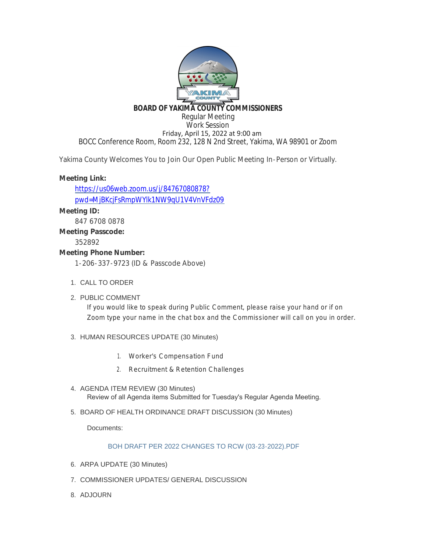

#### **BOARD OF YAKIMA COUNTY COMMISSIONERS** Regular Meeting Work Session

 Friday, April 15, 2022 at 9:00 am BOCC Conference Room, Room 232, 128 N 2nd Street, Yakima, WA 98901 or Zoom

Yakima County Welcomes You to Join Our Open Public Meeting In-Person or Virtually.

# **Meeting Link:**

https://us06web.zoom.us/j/84767080878? [pwd=MjBKcjFsRmpWYlk1NW9qU1V4VnVFdz09](https://us06web.zoom.us/j/84767080878?pwd=MjBKcjFsRmpWYlk1NW9qU1V4VnVFdz09)

## **Meeting ID:**

847 6708 0878

## **Meeting Passcode:**

352892

## **Meeting Phone Number:**

1-206-337-9723 (ID & Passcode Above)

- 1. CALL TO ORDER
- 2. PUBLIC COMMENT

If you would like to speak during Public Comment, please raise your hand or if on Zoom type your name in the chat box and the Commissioner will call on you in order.

## 3. HUMAN RESOURCES UPDATE (30 Minutes)

- 1. Worker's Compensation Fund
- 2. Recruitment & Retention Challenges
- 4. AGENDA ITEM REVIEW (30 Minutes) Review of all Agenda items Submitted for Tuesday's Regular Agenda Meeting.
- 5. BOARD OF HEALTH ORDINANCE DRAFT DISCUSSION (30 Minutes)

Documents:

## BOH DRAFT PER 2022 CHANGES TO RCW (03-23-2022).PDF

- 6. ARPA UPDATE (30 Minutes)
- 7. COMMISSIONER UPDATES/ GENERAL DISCUSSION
- 8. ADJOURN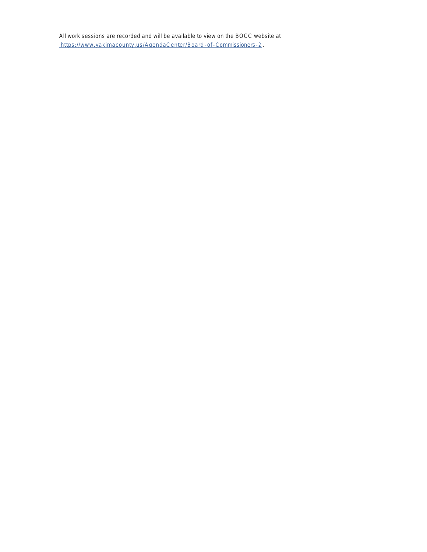[A](https://www.yakimacounty.us/AgendaCenter/Board-of-Commissioners-2)ll work sessions are recorded and will be available to view on the BOCC website at [https://www.yakimacounty.us/AgendaCenter/Board](https://www.yakimacounty.us/AgendaCenter/Board-of-Commissioners-2) -of-Commissioners-2 .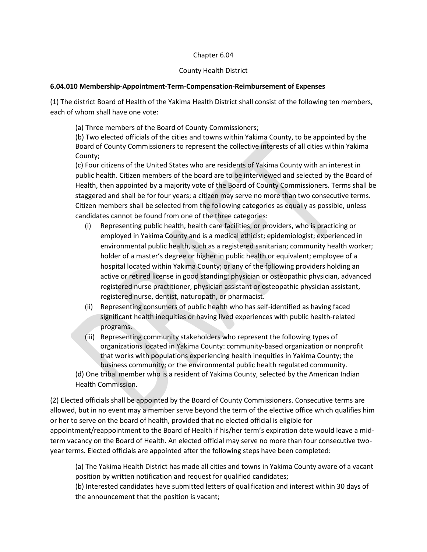#### Chapter 6.04

#### County Health District

#### **6.04.010 Membership-Appointment-Term-Compensation-Reimbursement of Expenses**

(1) The district Board of Health of the Yakima Health District shall consist of the following ten members, each of whom shall have one vote:

(a) Three members of the Board of County Commissioners;

(b) Two elected officials of the cities and towns within Yakima County, to be appointed by the Board of County Commissioners to represent the collective interests of all cities within Yakima County;

(c) Four citizens of the United States who are residents of Yakima County with an interest in public health. Citizen members of the board are to be interviewed and selected by the Board of Health, then appointed by a majority vote of the Board of County Commissioners. Terms shall be staggered and shall be for four years; a citizen may serve no more than two consecutive terms. Citizen members shall be selected from the following categories as equally as possible, unless candidates cannot be found from one of the three categories:

- (i) Representing public health, health care facilities, or providers, who is practicing or employed in Yakima County and is a medical ethicist; epidemiologist; experienced in environmental public health, such as a registered sanitarian; community health worker; holder of a master's degree or higher in public health or equivalent; employee of a hospital located within Yakima County; or any of the following providers holding an active or retired license in good standing: physician or osteopathic physician, advanced registered nurse practitioner, physician assistant or osteopathic physician assistant, registered nurse, dentist, naturopath, or pharmacist.
- (ii) Representing consumers of public health who has self-identified as having faced significant health inequities or having lived experiences with public health-related programs.
- (iii) Representing community stakeholders who represent the following types of organizations located in Yakima County: community-based organization or nonprofit that works with populations experiencing health inequities in Yakima County; the business community; or the environmental public health regulated community.

(d) One tribal member who is a resident of Yakima County, selected by the American Indian Health Commission.

(2) Elected officials shall be appointed by the Board of County Commissioners. Consecutive terms are allowed, but in no event may a member serve beyond the term of the elective office which qualifies him or her to serve on the board of health, provided that no elected official is eligible for appointment/reappointment to the Board of Health if his/her term's expiration date would leave a midterm vacancy on the Board of Health. An elected official may serve no more than four consecutive twoyear terms. Elected officials are appointed after the following steps have been completed:

(a) The Yakima Health District has made all cities and towns in Yakima County aware of a vacant position by written notification and request for qualified candidates;

(b) Interested candidates have submitted letters of qualification and interest within 30 days of the announcement that the position is vacant;